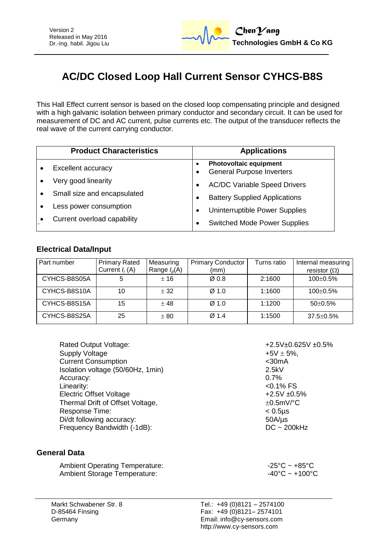

# **AC/DC Closed Loop Hall Current Sensor CYHCS-B8S**

This Hall Effect current sensor is based on the closed loop compensating principle and designed with a high galvanic isolation between primary conductor and secondary circuit. It can be used for measurement of DC and AC current, pulse currents etc. The output of the transducer reflects the real wave of the current carrying conductor.

| <b>Product Characteristics</b> | <b>Applications</b>                                               |  |
|--------------------------------|-------------------------------------------------------------------|--|
| <b>Excellent accuracy</b>      | <b>Photovoltaic equipment</b><br><b>General Purpose Inverters</b> |  |
| Very good linearity            | <b>AC/DC Variable Speed Drivers</b>                               |  |
| Small size and encapsulated    | <b>Battery Supplied Applications</b>                              |  |
| Less power consumption         | Uninterruptible Power Supplies                                    |  |
| Current overload capability    | <b>Switched Mode Power Supplies</b>                               |  |

### **Electrical Data/Input**

| Part number  | <b>Primary Rated</b><br>Current $I_r(A)$ | Measuring<br>Range $I_p(A)$ | <b>Primary Conductor</b><br>(mm) | Turns ratio | Internal measuring<br>resistor $(\Omega)$ |  |
|--------------|------------------------------------------|-----------------------------|----------------------------------|-------------|-------------------------------------------|--|
| CYHCS-B8S05A | 5                                        | ± 16                        | $\varnothing$ 0.8                | 2:1600      | $100 \pm 0.5\%$                           |  |
| CYHCS-B8S10A | 10                                       | ± 32                        | $\varnothing$ 1.0                | 1:1600      | $100 \pm 0.5\%$                           |  |
| CYHCS-B8S15A | 15                                       | ±48                         | Ø <sub>1.0</sub>                 | 1:1200      | $50+0.5%$                                 |  |
| CYHCS-B8S25A | 25                                       | ± 80                        | $\varnothing$ 1.4                | 1:1500      | $37.5 \pm 0.5\%$                          |  |

| $+2.5V \pm$ |
|-------------|
| $+5V \pm 5$ |
| $<$ 30 $mA$ |
| 2.5kV       |
| 0.7%        |
| $< 0.1\%$   |
| $+2.5V =$   |
| $\pm 0.5$ m |
| $< 0.5$ µs  |
| $50A/\mu s$ |
| $DC - 2$    |
|             |

### **General Data**

Ambient Operating Temperature:<br>Ambient Storage Temperature:  $-25^{\circ}\text{C} \sim +85^{\circ}\text{C}$ <br>-40°C ~ +100°C Ambient Storage Temperature:

 $+2.5V+0.625V +0.5%$ +5V  $\pm$  5%,  $<$  0.1% FS  $+2.5V \pm 0.5%$  $\pm 0.5$ mV/°C  $DC ~ 200kHz$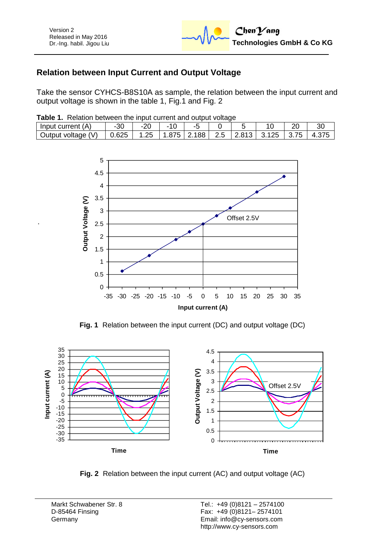## **Relation between Input Current and Output Voltage**

Take the sensor CYHCS-B8S10A as sample, the relation between the input current and output voltage is shown in the table 1, Fig.1 and Fig. 2

|  |  | Table 1. Relation between the input current and output voltage |
|--|--|----------------------------------------------------------------|
|  |  |                                                                |

| ΄ Δ<br>Input<br>current<br>$\mathbf{\mathsf{m}}$ |       | . .  |     |          |                             |   | nr | 30 |
|--------------------------------------------------|-------|------|-----|----------|-----------------------------|---|----|----|
| (V)<br>Output voltage                            | 0.625 | ں ے. | -88 | <u> </u> | $\sim$ $\sim$<br>. .<br>ـ . | ∼ | __ |    |



**Fig. 1** Relation between the input current (DC) and output voltage (DC)



**Fig. 2** Relation between the input current (AC) and output voltage (AC)